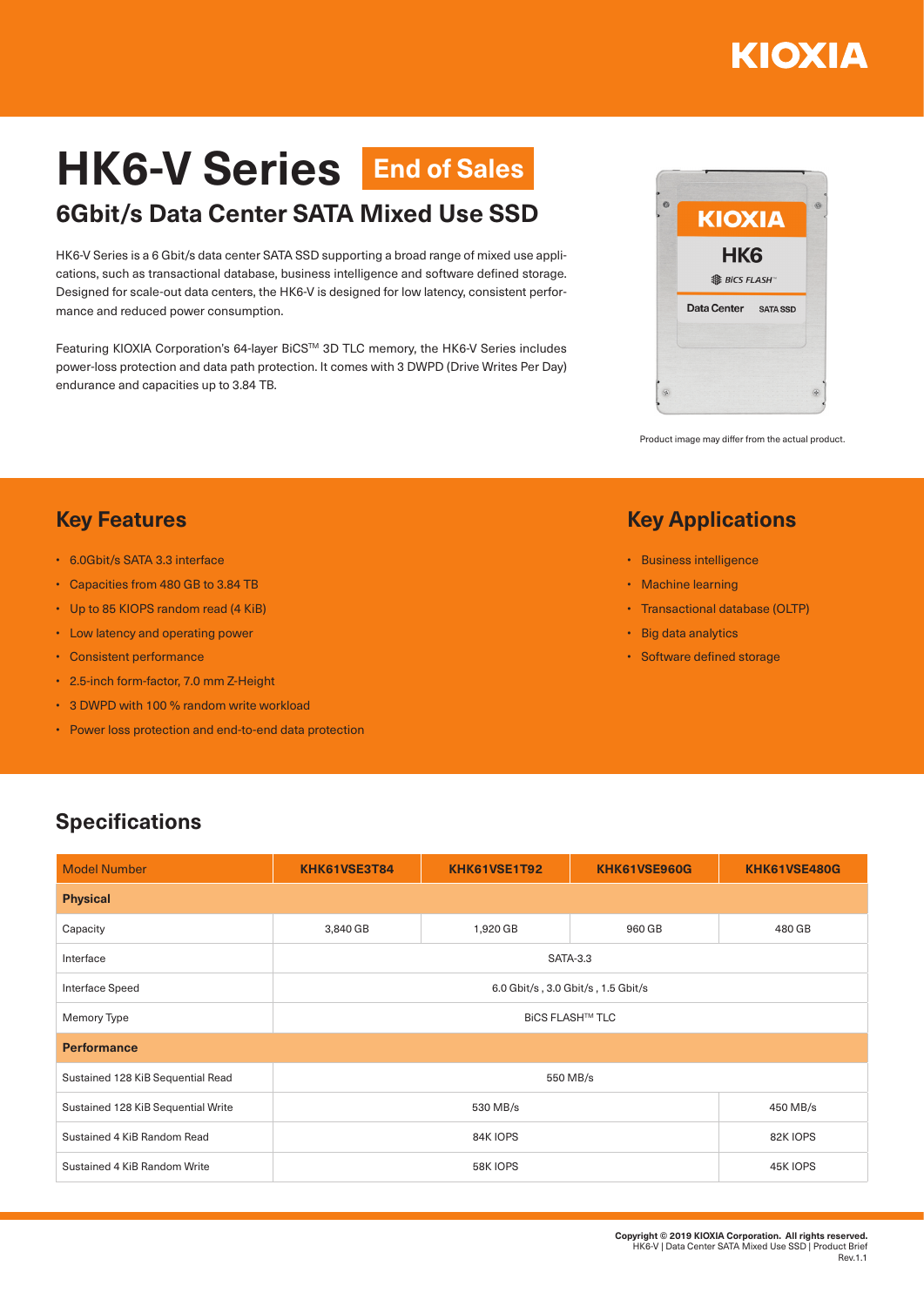## ΚΙΟΧΙΑ

# **HK6-V Series End of Sales**

### **6Gbit/s Data Center SATA Mixed Use SSD**

HK6-V Series is a 6 Gbit/s data center SATA SSD supporting a broad range of mixed use applications, such as transactional database, business intelligence and software defined storage. Designed for scale-out data centers, the HK6-V is designed for low latency, consistent performance and reduced power consumption.

Featuring KIOXIA Corporation's 64-layer BiCS™ 3D TLC memory, the HK6-V Series includes power-loss protection and data path protection. It comes with 3 DWPD (Drive Writes Per Day) endurance and capacities up to 3.84 TB.



Product image may differ from the actual product.

#### **Key Applications**

- Business intelligence
- Machine learning
- Transactional database (OLTP)
- Big data analytics
- Software defined storage

#### **Key Features**

- 6.0Gbit/s SATA 3.3 interface
- Capacities from 480 GB to 3.84 TB
- Up to 85 KIOPS random read (4 KiB)
- Low latency and operating power
- Consistent performance
- 2.5-inch form-factor, 7.0 mm Z-Height
- 3 DWPD with 100 % random write workload
- Power loss protection and end-to-end data protection

#### **Specifications**

| <b>Model Number</b>                | KHK61VSE3T84                       | KHK61VSE1T92 | KHK61VSE960G | KHK61VSE480G |  |  |  |
|------------------------------------|------------------------------------|--------------|--------------|--------------|--|--|--|
| <b>Physical</b>                    |                                    |              |              |              |  |  |  |
| Capacity                           | 3,840 GB                           | 1,920 GB     | 960 GB       | 480 GB       |  |  |  |
| Interface                          | <b>SATA-3.3</b>                    |              |              |              |  |  |  |
| Interface Speed                    | 6.0 Gbit/s, 3.0 Gbit/s, 1.5 Gbit/s |              |              |              |  |  |  |
| Memory Type                        | <b>BICS FLASH™ TLC</b>             |              |              |              |  |  |  |
| <b>Performance</b>                 |                                    |              |              |              |  |  |  |
| Sustained 128 KiB Sequential Read  | 550 MB/s                           |              |              |              |  |  |  |
| Sustained 128 KiB Sequential Write | 530 MB/s                           |              |              | 450 MB/s     |  |  |  |
| Sustained 4 KiB Random Read        | 84K IOPS                           |              |              | 82K IOPS     |  |  |  |
| Sustained 4 KiB Random Write       | 58K IOPS                           |              |              | 45K IOPS     |  |  |  |